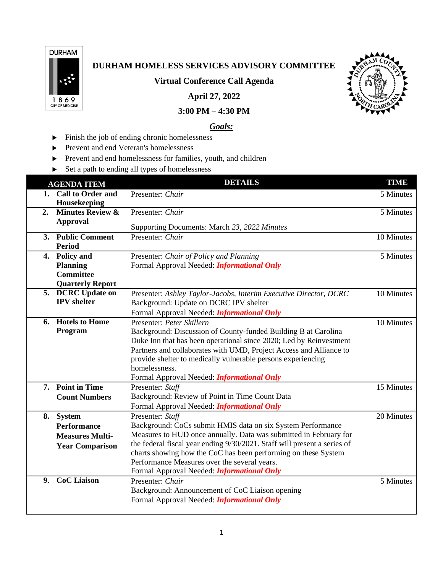

## **DURHAM HOMELESS SERVICES ADVISORY COMMITTEE**

**Virtual Conference Call Agenda**

**April 27, 2022**



## **3:00 PM – 4:30 PM**

## *Goals:*

- Finish the job of ending chronic homelessness
- Prevent and end Veteran's homelessness
- Prevent and end homelessness for families, youth, and children
- ▶ Set a path to ending all types of homelessness

|    | <b>AGENDA ITEM</b>                   | <b>DETAILS</b>                                                           | <b>TIME</b> |
|----|--------------------------------------|--------------------------------------------------------------------------|-------------|
|    | 1. Call to Order and<br>Housekeeping | Presenter: Chair                                                         | 5 Minutes   |
| 2. | <b>Minutes Review &amp;</b>          | Presenter: Chair                                                         | 5 Minutes   |
|    | <b>Approval</b>                      | Supporting Documents: March 23, 2022 Minutes                             |             |
|    | 3. Public Comment                    | Presenter: Chair                                                         | 10 Minutes  |
|    | <b>Period</b>                        |                                                                          |             |
|    | 4. Policy and                        | Presenter: Chair of Policy and Planning                                  | 5 Minutes   |
|    | <b>Planning</b><br><b>Committee</b>  | Formal Approval Needed: <i>Informational Only</i>                        |             |
|    | <b>Quarterly Report</b>              |                                                                          |             |
|    | 5. DCRC Update on                    | Presenter: Ashley Taylor-Jacobs, Interim Executive Director, DCRC        | 10 Minutes  |
|    | <b>IPV</b> shelter                   | Background: Update on DCRC IPV shelter                                   |             |
|    |                                      | Formal Approval Needed: <i>Informational Only</i>                        |             |
| 6. | <b>Hotels to Home</b>                | Presenter: Peter Skillern                                                | 10 Minutes  |
|    | Program                              | Background: Discussion of County-funded Building B at Carolina           |             |
|    |                                      | Duke Inn that has been operational since 2020; Led by Reinvestment       |             |
|    |                                      | Partners and collaborates with UMD, Project Access and Alliance to       |             |
|    |                                      | provide shelter to medically vulnerable persons experiencing             |             |
|    |                                      | homelessness.                                                            |             |
|    |                                      | Formal Approval Needed: <i>Informational Only</i>                        |             |
|    | 7. Point in Time                     | Presenter: Staff                                                         | 15 Minutes  |
|    | <b>Count Numbers</b>                 | Background: Review of Point in Time Count Data                           |             |
|    |                                      | Formal Approval Needed: <i>Informational Only</i>                        |             |
|    | 8. System                            | Presenter: Staff                                                         | 20 Minutes  |
|    | <b>Performance</b>                   | Background: CoCs submit HMIS data on six System Performance              |             |
|    | <b>Measures Multi-</b>               | Measures to HUD once annually. Data was submitted in February for        |             |
|    | <b>Year Comparison</b>               | the federal fiscal year ending 9/30/2021. Staff will present a series of |             |
|    |                                      | charts showing how the CoC has been performing on these System           |             |
|    |                                      | Performance Measures over the several years.                             |             |
|    |                                      | Formal Approval Needed: <i>Informational Only</i>                        |             |
| 9. | <b>CoC</b> Liaison                   | Presenter: Chair                                                         | 5 Minutes   |
|    |                                      | Background: Announcement of CoC Liaison opening                          |             |
|    |                                      | Formal Approval Needed: <i>Informational Only</i>                        |             |
|    |                                      |                                                                          |             |